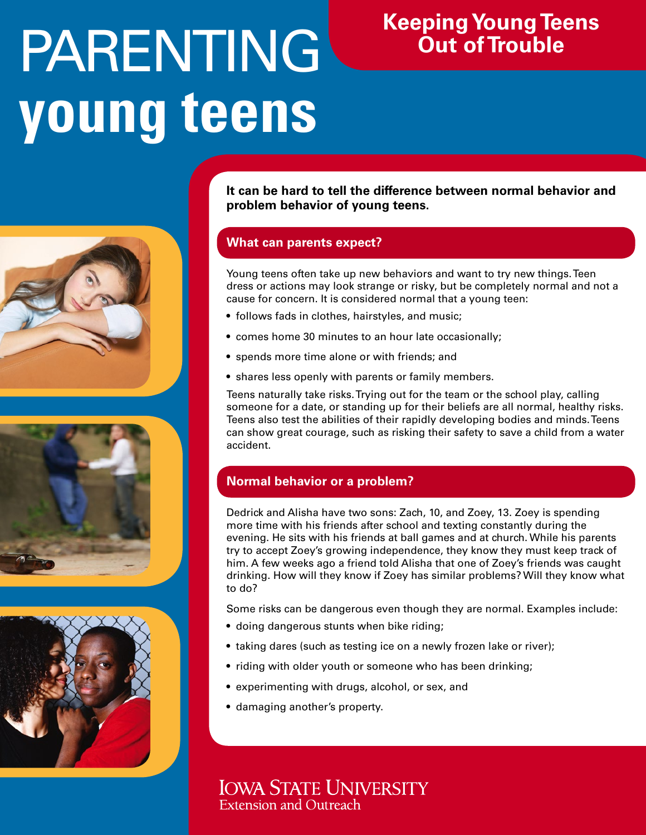# PARENTING **young teens**

# **Keeping Young Teens Out of Trouble**

**It can be hard to tell the difference between normal behavior and problem behavior of young teens.**

# **What can parents expect?**

Young teens often take up new behaviors and want to try new things. Teen dress or actions may look strange or risky, but be completely normal and not a cause for concern. It is considered normal that a young teen:

- follows fads in clothes, hairstyles, and music;
- comes home 30 minutes to an hour late occasionally;
- spends more time alone or with friends; and
- shares less openly with parents or family members.

Teens naturally take risks. Trying out for the team or the school play, calling someone for a date, or standing up for their beliefs are all normal, healthy risks. Teens also test the abilities of their rapidly developing bodies and minds. Teens can show great courage, such as risking their safety to save a child from a water accident.

# **Normal behavior or a problem?**

Dedrick and Alisha have two sons: Zach, 10, and Zoey, 13. Zoey is spending more time with his friends after school and texting constantly during the evening. He sits with his friends at ball games and at church. While his parents try to accept Zoey's growing independence, they know they must keep track of him. A few weeks ago a friend told Alisha that one of Zoey's friends was caught drinking. How will they know if Zoey has similar problems? Will they know what to do?

Some risks can be dangerous even though they are normal. Examples include:

- doing dangerous stunts when bike riding;
- taking dares (such as testing ice on a newly frozen lake or river);
- riding with older youth or someone who has been drinking;
- experimenting with drugs, alcohol, or sex, and
- damaging another's property.

**IOWA STATE UNIVERSITY Extension and Outreach** 





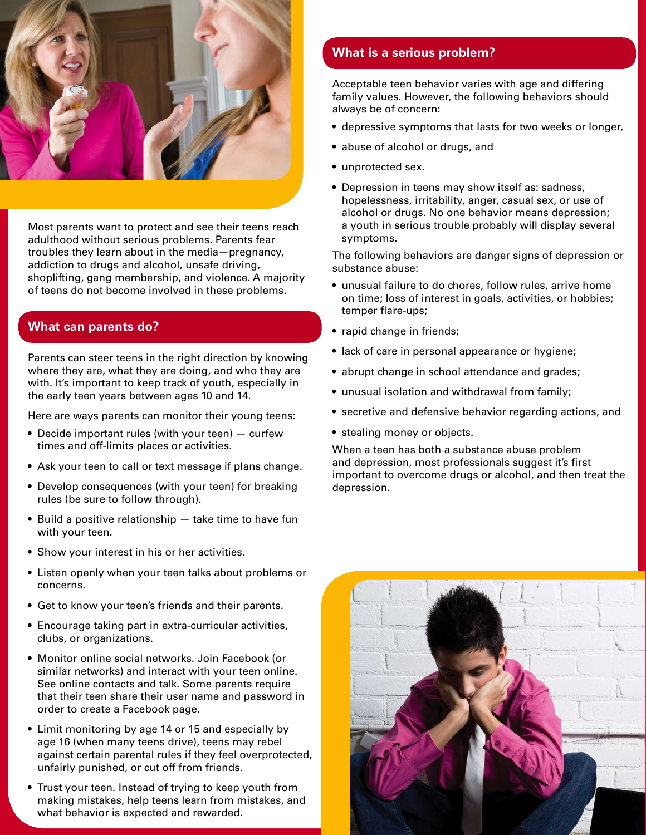

Most parents want to protect and see their teens reach adulthood without serious problems. Parents fear troubles they learn about in the media—pregnancy, addiction to drugs and alcohol, unsafe driving, shoplifting, gang membership, and violence. A majority of teens do not become involved in these problems.

# **What can parents do?**

Parents can steer teens in the right direction by knowing where they are, what they are doing, and who they are with. It's important to keep track of youth, especially in the early teen years between ages 10 and 14.

Here are ways parents can monitor their young teens:

- Decide important rules (with your teen) curfew times and off-limits places or activities.
- Ask your teen to call or text message if plans change.
- Develop consequences (with your teen) for breaking rules (be sure to follow through).
- Build a positive relationship take time to have fun with your teen.
- Show your interest in his or her activities.
- Listen openly when your teen talks about problems or concerns.
- Get to know your teen's friends and their parents.
- Encourage taking part in extra-curricular activities, clubs, or organizations.
- Monitor online social networks. Join Facebook (or similar networks) and interact with your teen online. See online contacts and talk. Some parents require that their teen share their user name and password in order to create a Facebook page.
- Limit monitoring by age 14 or 15 and especially by age 16 (when many teens drive), teens may rebel against certain parental rules if they feel overprotected, unfairly punished, or cut off from friends.
- Trust your teen. Instead of trying to keep youth from making mistakes, help teens learn from mistakes, and what behavior is expected and rewarded.

## **What is a serious problem?**

Acceptable teen behavior varies with age and differing family values. However, the following behaviors should always be of concern:

- depressive symptoms that lasts for two weeks or longer,
- abuse of alcohol or drugs, and
- unprotected sex.
- Depression in teens may show itself as: sadness, hopelessness, irritability, anger, casual sex, or use of alcohol or drugs. No one behavior means depression; a youth in serious trouble probably will display several symptoms.

The following behaviors are danger signs of depression or substance abuse:

- unusual failure to do chores, follow rules, arrive home on time; loss of interest in goals, activities, or hobbies; temper flare-ups;
- rapid change in friends;
- lack of care in personal appearance or hygiene;
- abrupt change in school attendance and grades;
- unusual isolation and withdrawal from family;
- secretive and defensive behavior regarding actions, and
- stealing money or objects.

When a teen has both a substance abuse problem and depression, most professionals suggest it's first important to overcome drugs or alcohol, and then treat the depression.

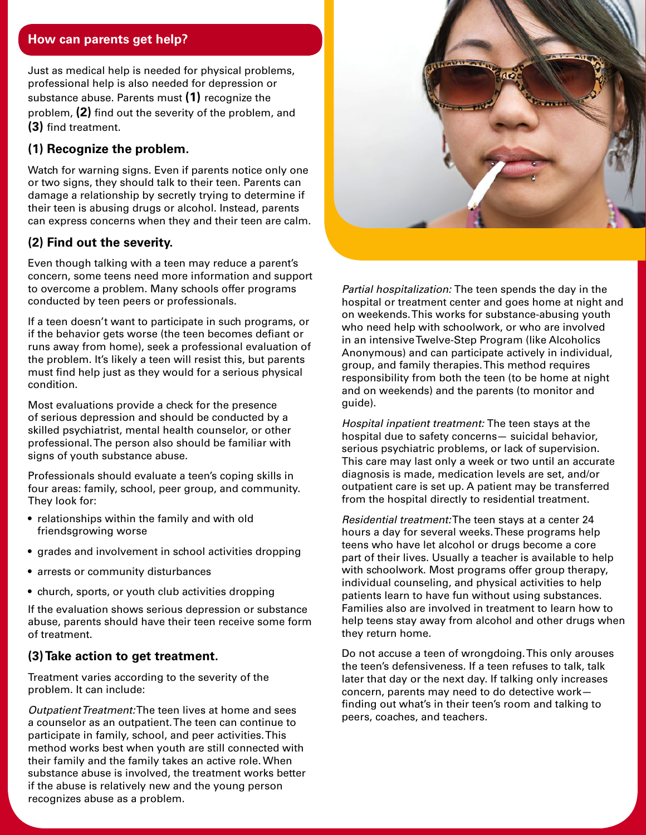### **How can parents get help?**

Just as medical help is needed for physical problems, professional help is also needed for depression or substance abuse. Parents must **(1)** recognize the problem, **(2)** find out the severity of the problem, and **(3)** find treatment.

# **(1) Recognize the problem.**

Watch for warning signs. Even if parents notice only one or two signs, they should talk to their teen. Parents can damage a relationship by secretly trying to determine if their teen is abusing drugs or alcohol. Instead, parents can express concerns when they and their teen are calm.

# **(2) Find out the severity.**

Even though talking with a teen may reduce a parent's concern, some teens need more information and support to overcome a problem. Many schools offer programs conducted by teen peers or professionals.

If a teen doesn't want to participate in such programs, or if the behavior gets worse (the teen becomes defiant or runs away from home), seek a professional evaluation of the problem. It's likely a teen will resist this, but parents must find help just as they would for a serious physical condition.

Most evaluations provide a check for the presence of serious depression and should be conducted by a skilled psychiatrist, mental health counselor, or other professional. The person also should be familiar with signs of youth substance abuse.

Professionals should evaluate a teen's coping skills in four areas: family, school, peer group, and community. They look for:

- relationships within the family and with old friendsgrowing worse
- grades and involvement in school activities dropping
- arrests or community disturbances
- church, sports, or youth club activities dropping

If the evaluation shows serious depression or substance abuse, parents should have their teen receive some form of treatment.

#### **(3) Take action to get treatment.**

Treatment varies according to the severity of the problem. It can include:

*Outpatient Treatment:* The teen lives at home and sees a counselor as an outpatient. The teen can continue to participate in family, school, and peer activities. This method works best when youth are still connected with their family and the family takes an active role. When substance abuse is involved, the treatment works better if the abuse is relatively new and the young person recognizes abuse as a problem.



*Partial hospitalization:* The teen spends the day in the hospital or treatment center and goes home at night and on weekends. This works for substance-abusing youth who need help with schoolwork, or who are involved in an intensive Twelve-Step Program (like Alcoholics Anonymous) and can participate actively in individual, group, and family therapies. This method requires responsibility from both the teen (to be home at night and on weekends) and the parents (to monitor and guide).

*Hospital inpatient treatment:* The teen stays at the hospital due to safety concerns— suicidal behavior, serious psychiatric problems, or lack of supervision. This care may last only a week or two until an accurate diagnosis is made, medication levels are set, and/or outpatient care is set up. A patient may be transferred from the hospital directly to residential treatment.

*Residential treatment:* The teen stays at a center 24 hours a day for several weeks. These programs help teens who have let alcohol or drugs become a core part of their lives. Usually a teacher is available to help with schoolwork. Most programs offer group therapy, individual counseling, and physical activities to help patients learn to have fun without using substances. Families also are involved in treatment to learn how to help teens stay away from alcohol and other drugs when they return home.

Do not accuse a teen of wrongdoing. This only arouses the teen's defensiveness. If a teen refuses to talk, talk later that day or the next day. If talking only increases concern, parents may need to do detective work finding out what's in their teen's room and talking to peers, coaches, and teachers.